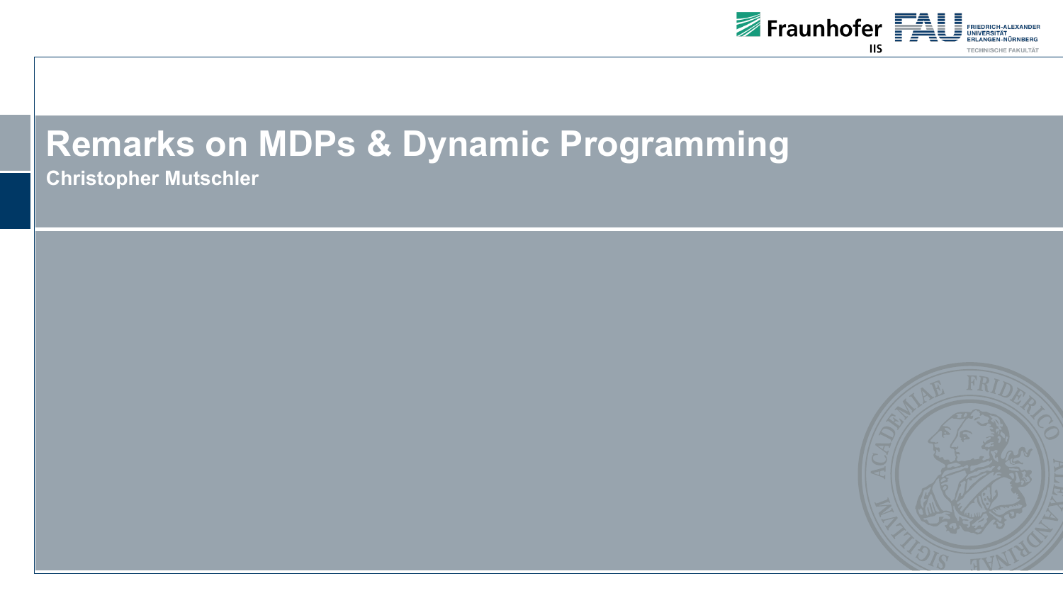

# **Remarks on MDPs & Dynamic Programming**

**Christopher Mutschler**

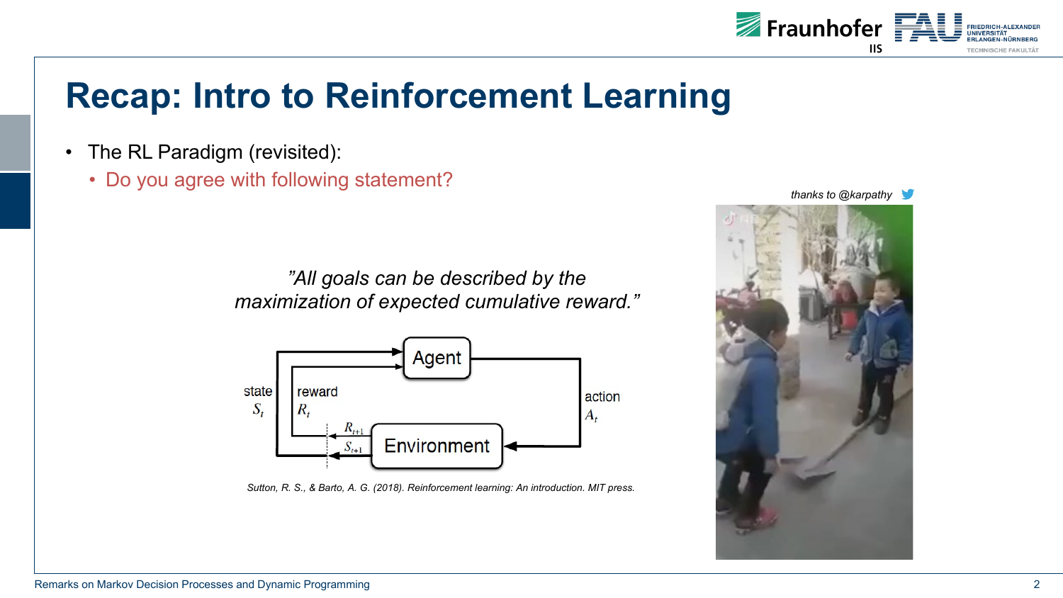

## **Recap: Intro to Reinforcement Learning**

- The RL Paradigm (revisited):
	- Do you agree with following statement?

*"All goals can be described by the maximization of expected cumulative reward."*



*Sutton, R. S., & Barto, A. G. (2018). Reinforcement learning: An introduction. MIT press.*



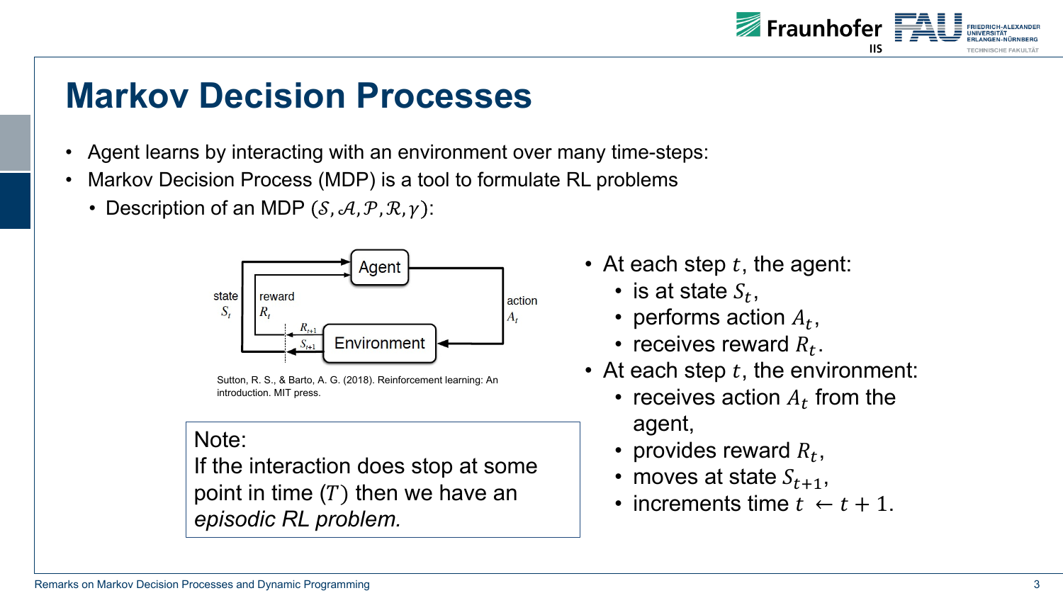

## **Markov Decision Processes**

- Agent learns by interacting with an environment over many time-steps:
- Markov Decision Process (MDP) is a tool to formulate RL problems
	- Description of an MDP  $(S, A, P, R, \gamma)$ :



Sutton, R. S., & Barto, A. G. (2018). Reinforcement learning: An introduction. MIT press.

#### Note:

If the interaction does stop at some point in time  $(T)$  then we have an *episodic RL problem.*

- At each step  $t$ , the agent:
	- is at state  $S_t$ ,
	- performs action  $A_t$ ,
	- receives reward  $R_t$ .
- At each step  $t$ , the environment:
	- receives action  $A_t$  from the agent,
	- provides reward  $R_t$ ,
	- moves at state  $S_{t+1}$ ,
	- increments time  $t \leftarrow t + 1$ .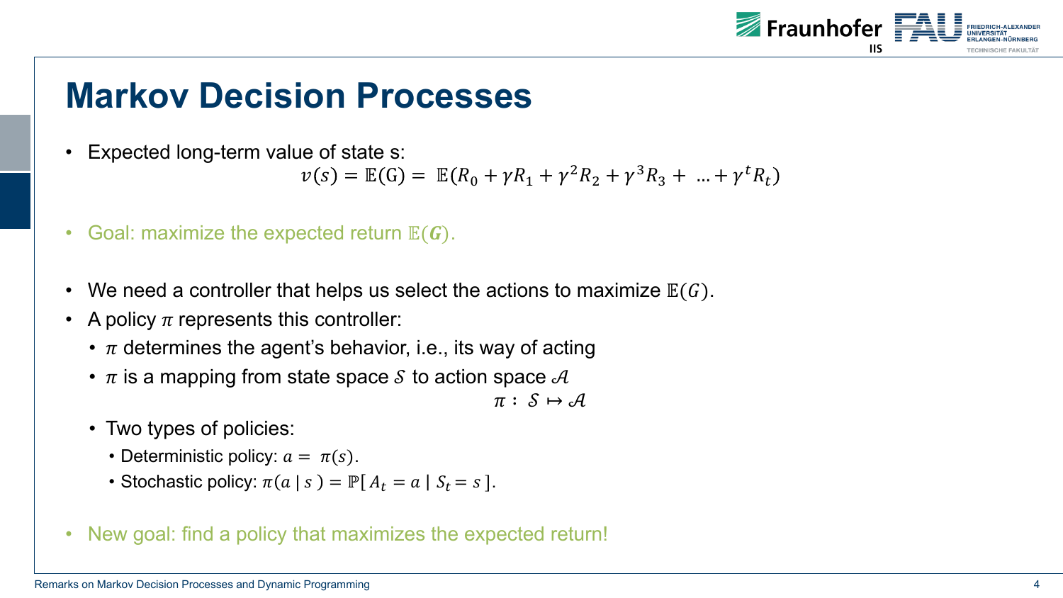

## **Markov Decision Processes**

• Expected long-term value of state s:

$$
\nu(s) = \mathbb{E}(G) = \mathbb{E}(R_0 + \gamma R_1 + \gamma^2 R_2 + \gamma^3 R_3 + \dots + \gamma^t R_t)
$$

- Goal: maximize the expected return  $E(G)$ .
- We need a controller that helps us select the actions to maximize  $E(G)$ .
- A policy  $\pi$  represents this controller:
	- $\cdot$   $\pi$  determines the agent's behavior, i.e., its way of acting
	- $\bullet$   $\pi$  is a mapping from state space S to action space A

 $\pi: \mathcal{S} \mapsto \mathcal{A}$ 

- Two types of policies:
	- Deterministic policy:  $a = \pi(s)$ .
	- Stochastic policy:  $\pi(a \mid s) = \mathbb{P}[A_t = a \mid S_t = s].$
- New goal: find a policy that maximizes the expected return!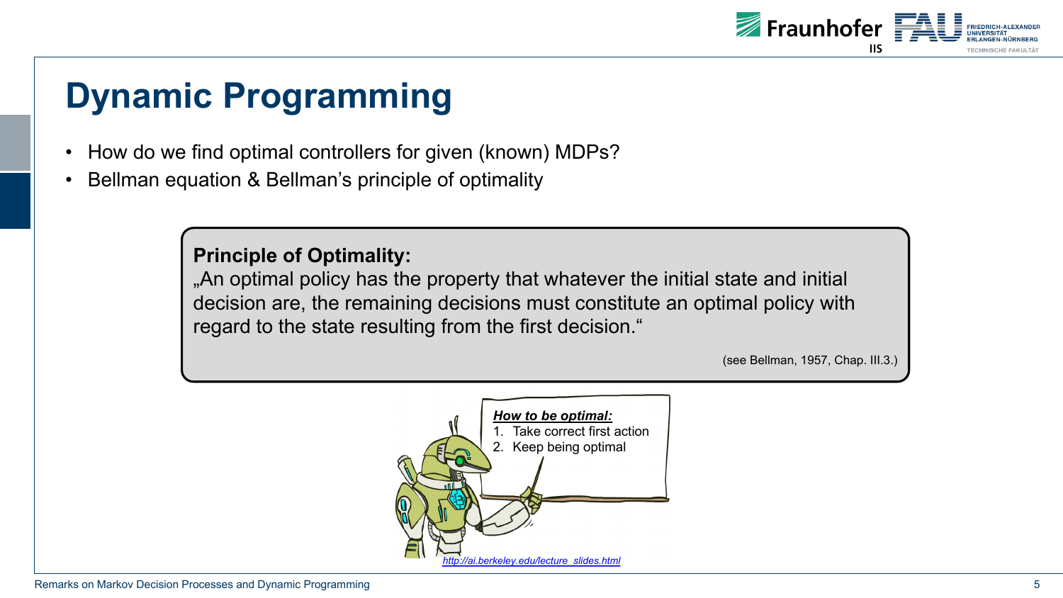- How do we find optimal controllers for given (known) MDPs?
- Bellman equation & Bellman's principle of optimality

#### **Principle of Optimality:**

"An optimal policy has the property that [whatever](http://ai.berkeley.edu/lecture_slides.html) the in decision are, the remaining decisions must constitute a regard to the state resulting from the first decision."

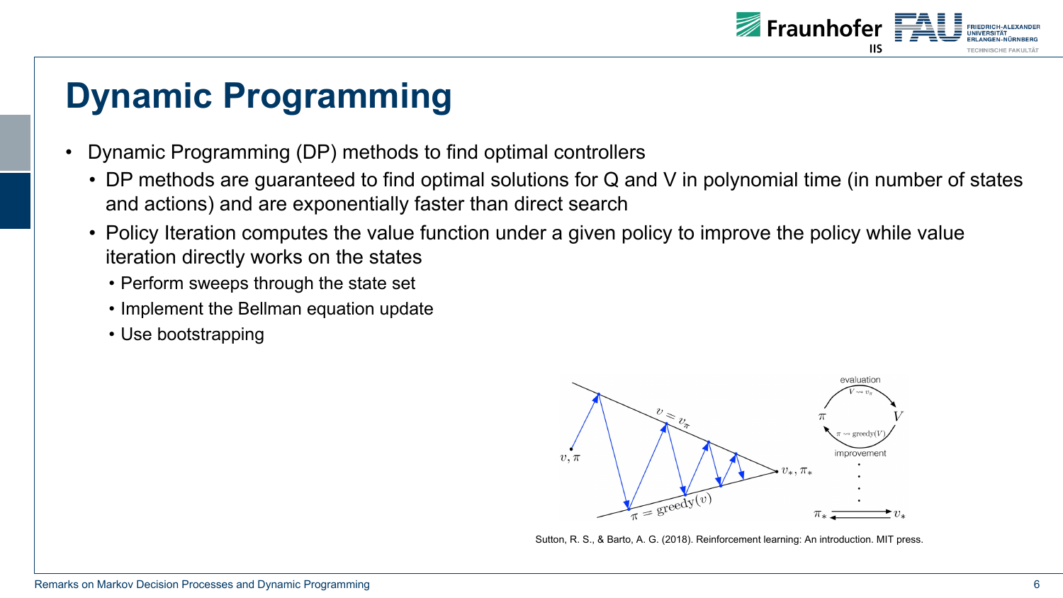

- Dynamic Programming (DP) methods to find optimal controllers
	- DP methods are guaranteed to find optimal solutions for Q and V in polynomial time (in number of states and actions) and are exponentially faster than direct search
	- Policy Iteration computes the value function under a given policy to improve the policy while value iteration directly works on the states
		- Perform sweeps through the state set
		- Implement the Bellman equation update
		- Use bootstrapping



Sutton, R. S., & Barto, A. G. (2018). Reinforcement learning: An introduction. MIT press.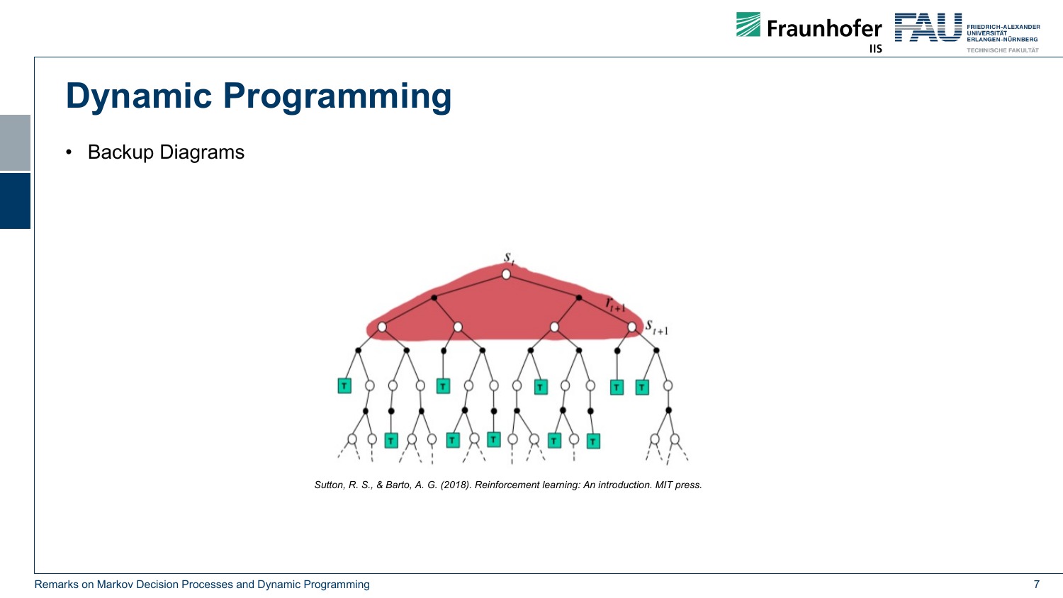

• Backup Diagrams



*Sutton, R. S., & Barto, A. G. (2018). Reinforcement learning: An introduction. MIT press.*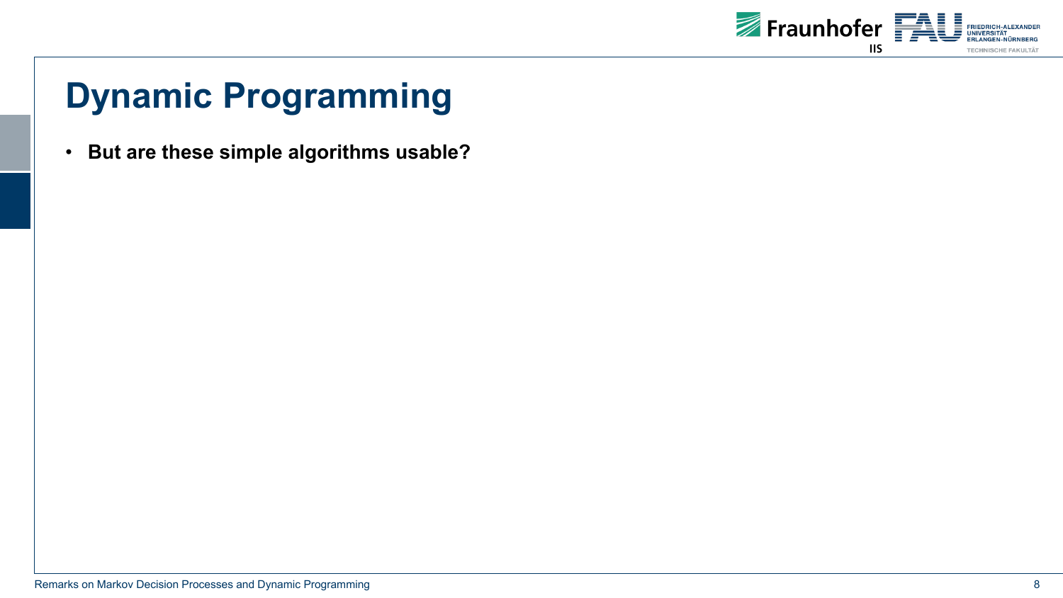

• **But are these simple algorithms usable?**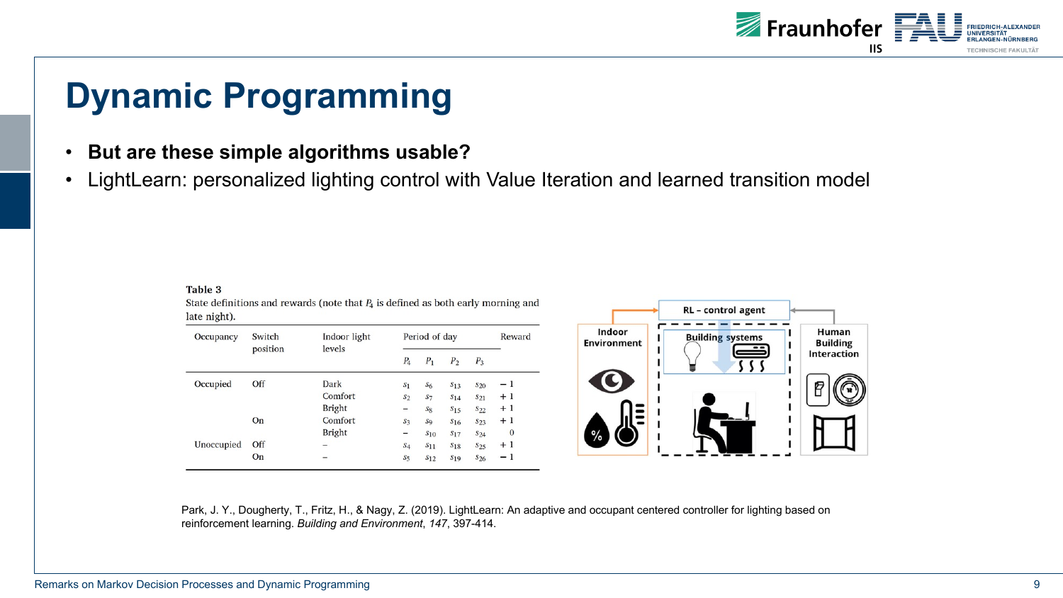

#### • **But are these simple algorithms usable?**

• LightLearn: personalized lighting control with Value Iteration and learned transition model

| late night). |                    |                        |                |                |                |                 |          |
|--------------|--------------------|------------------------|----------------|----------------|----------------|-----------------|----------|
| Occupancy    | Switch<br>position | Indoor light<br>levels | Period of day  |                |                |                 | Reward   |
|              |                    |                        | $P_{4}$        | $P_1$          | P <sub>2</sub> | $P_3$           |          |
| Occupied     | Off                | Dark                   | S <sub>1</sub> | $S_6$          | $S_{13}$       | $S_{20}$        | - 1      |
|              |                    | Comfort                | S <sub>2</sub> | $S_7$          | $S_{14}$       | $S_{21}$        | $+1$     |
|              |                    | <b>Bright</b>          | -              | $S_8$          | $S_{15}$       | $S_{22}$        | $+1$     |
|              | On                 | Comfort                | $S_3$          | S <sub>9</sub> | $S_{16}$       | S <sub>23</sub> | $+1$     |
|              |                    | <b>Bright</b>          | -              | $S_{10}$       | $S_{17}$       | $S_{24}$        | $\bf{0}$ |
| Unoccupied   | Off                | -                      | $S_4$          | $S_{11}$       | $S_{18}$       | $S_{25}$        | $+1$     |
|              | On                 | -                      | $S_5$          | $S_{12}$       | $S_{19}$       | $S_{26}$        | $-1$     |
|              |                    |                        |                |                |                |                 |          |

State definitions and rewards (note that  $P_4$  is defined as both early morning and



Park, J. Y., Dougherty, T., Fritz, H., & Nagy, Z. (2019). LightLearn: An adaptive and occupant centered controller for lighting based on reinforcement learning. *Building and Environment*, *147*, 397-414.

Table 3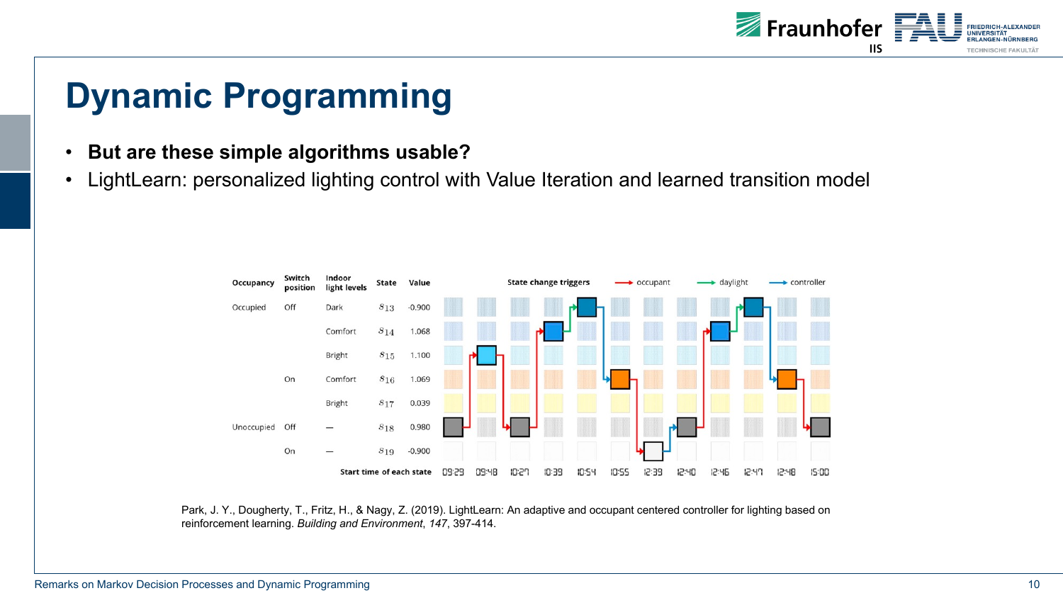

- **But are these simple algorithms usable?**
- LightLearn: personalized lighting control with Value Iteration and learned transition model



Park, J. Y., Dougherty, T., Fritz, H., & Nagy, Z. (2019). LightLearn: An adaptive and occupant centered controller for lighting based on reinforcement learning. *Building and Environment*, *147*, 397-414.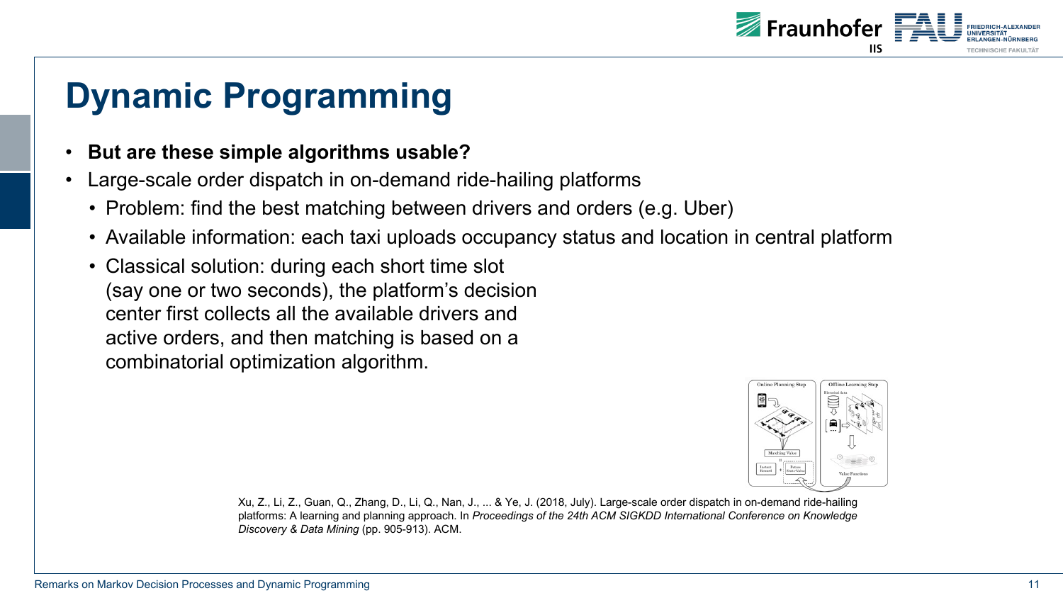

#### • **But are these simple algorithms usable?**

- Large-scale order dispatch in on-demand ride-hailing platforms
	- Problem: find the best matching between drivers and orders (e.g. Uber)
	- Available information: each taxi uploads occupancy status and location in central platform
	- Classical solution: during each short time slot (say one or two seconds), the platform's decision center first collects all the available drivers and active orders, and then matching is based on a combinatorial optimization algorithm.



Xu, Z., Li, Z., Guan, Q., Zhang, D., Li, Q., Nan, J., ... & Ye, J. (2018, July). Large-scale order dispatch in on-demand ride-hailing platforms: A learning and planning approach. In *Proceedings of the 24th ACM SIGKDD International Conference on Knowledge Discovery & Data Mining* (pp. 905-913). ACM.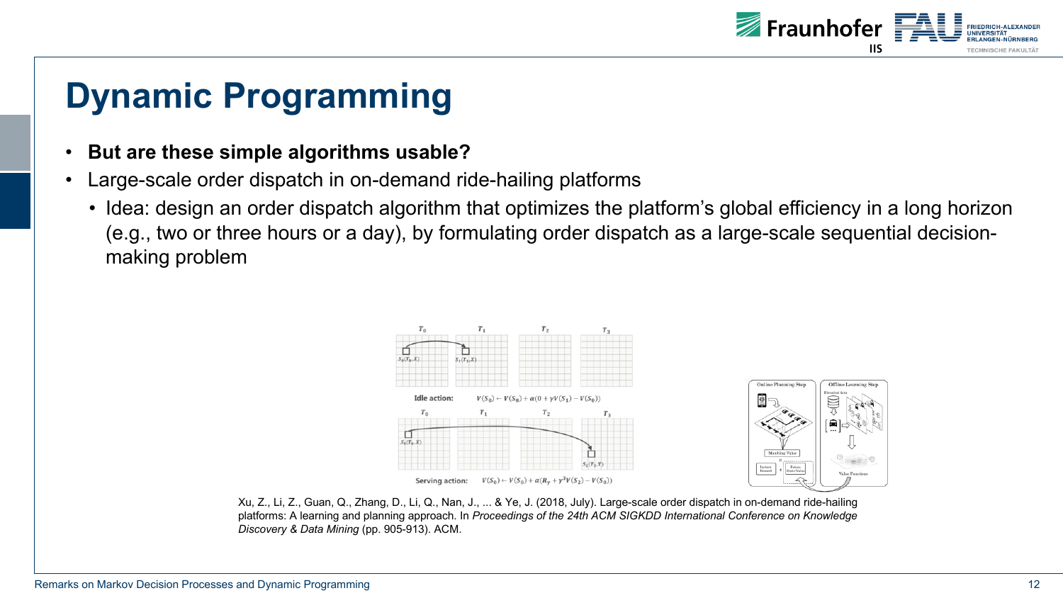

#### • **But are these simple algorithms usable?**

- Large-scale order dispatch in on-demand ride-hailing platforms
	- Idea: design an order dispatch algorithm that optimizes the platform's global efficiency in a long horizon (e.g., two or three hours or a day), by formulating order dispatch as a large-scale sequential decisionmaking problem



Xu, Z., Li, Z., Guan, Q., Zhang, D., Li, Q., Nan, J., ... & Ye, J. (2018, July). Large-scale order dispatch in on-demand ride-hailing platforms: A learning and planning approach. In *Proceedings of the 24th ACM SIGKDD International Conference on Knowledge Discovery & Data Mining* (pp. 905-913). ACM.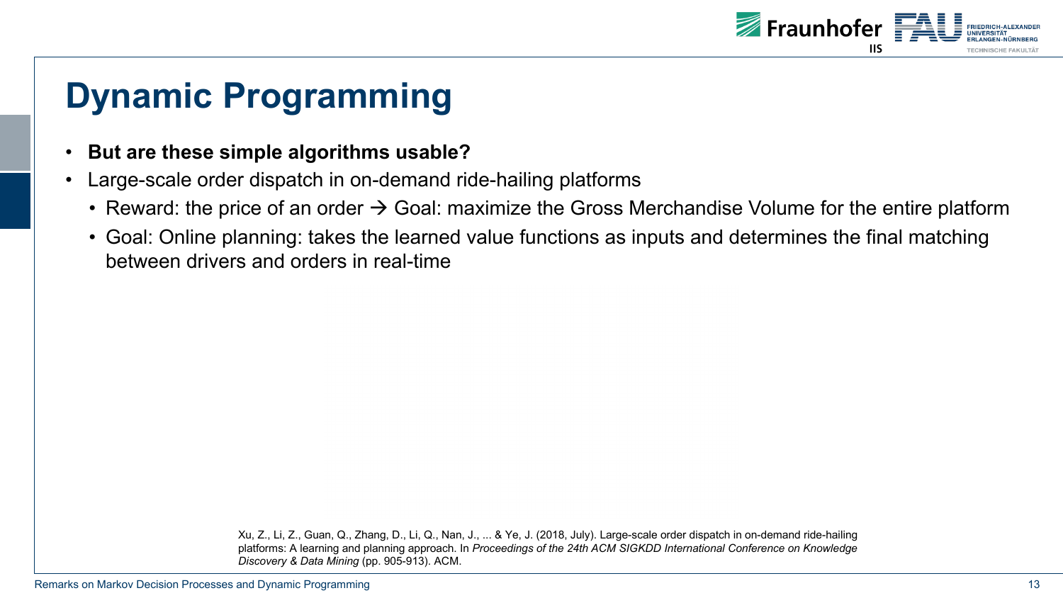

- **But are these simple algorithms usable?**
- Large-scale order dispatch in on-demand ride-hailing platforms
	- Reward: the price of an order  $\rightarrow$  Goal: maximize the Gross Merchandise Volume for the entire platform
	- Goal: Online planning: takes the learned value functions as inputs and determines the final matching between drivers and orders in real-time

Xu, Z., Li, Z., Guan, Q., Zhang, D., Li, Q., Nan, J., ... & Ye, J. (2018, July). Large-scale order dispatch in on-demand ride-hailing platforms: A learning and planning approach. In *Proceedings of the 24th ACM SIGKDD International Conference on Knowledge Discovery & Data Mining* (pp. 905-913). ACM.